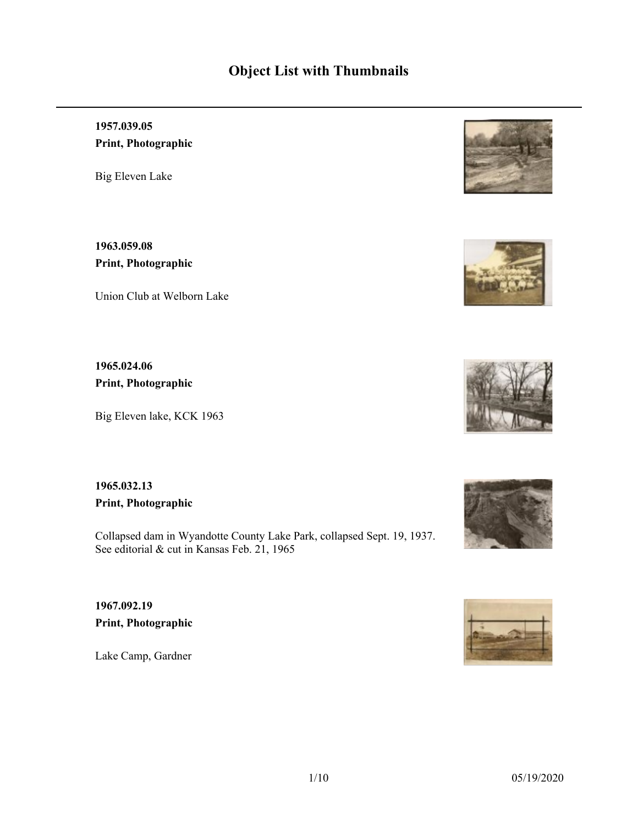# **Object List with Thumbnails**

**1957.039.05 Print, Photographic**

Big Eleven Lake

**1963.059.08 Print, Photographic**

Union Club at Welborn Lake

**1965.024.06 Print, Photographic**

Big Eleven lake, KCK 1963

**1965.032.13 Print, Photographic**

Collapsed dam in Wyandotte County Lake Park, collapsed Sept. 19, 1937. See editorial & cut in Kansas Feb. 21, 1965

**1967.092.19 Print, Photographic**

Lake Camp, Gardner







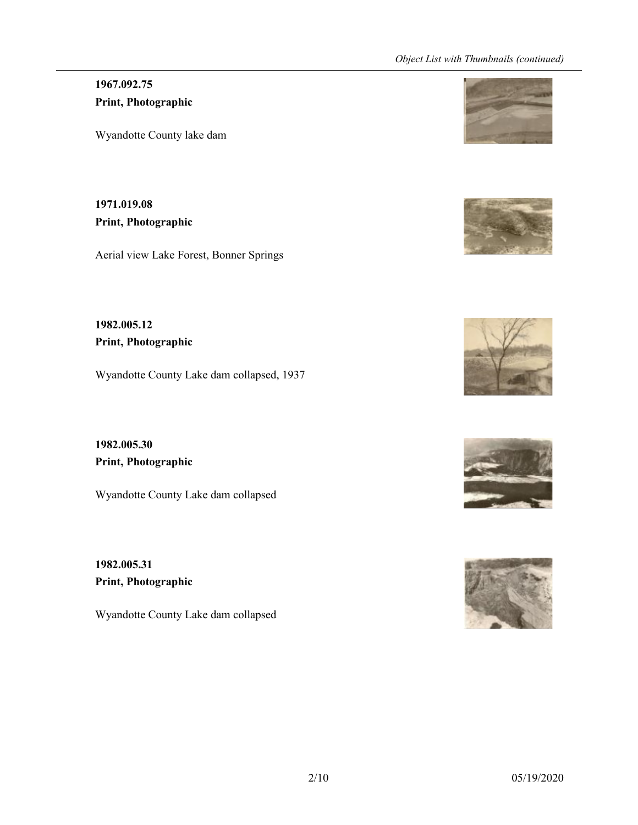# **1967.092.75 Print, Photographic**

Wyandotte County lake dam

**1971.019.08 Print, Photographic**

Aerial view Lake Forest, Bonner Springs

**1982.005.12 Print, Photographic**

Wyandotte County Lake dam collapsed, 1937

**1982.005.30 Print, Photographic**

Wyandotte County Lake dam collapsed

**1982.005.31 Print, Photographic**

Wyandotte County Lake dam collapsed









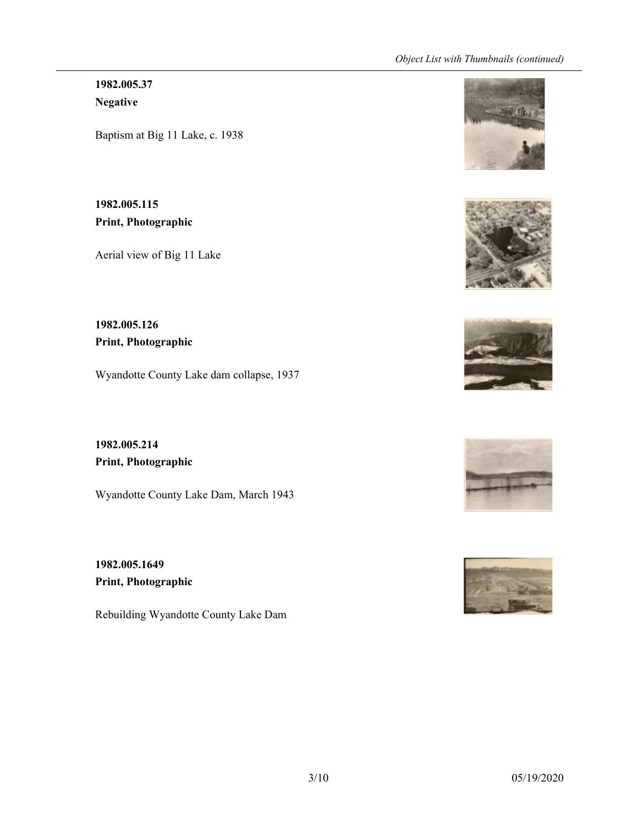**1982.005.37 Negative**

Baptism at Big 11 Lake, c. 1938

**1982.005.115 Print, Photographic**

Aerial view of Big 11 Lake

**1982.005.126 Print, Photographic**

Wyandotte County Lake dam collapse, 1937

**1982.005.214 Print, Photographic**

Wyandotte County Lake Dam, March 1943

**1982.005.1649 Print, Photographic**

Rebuilding Wyandotte County Lake Dam









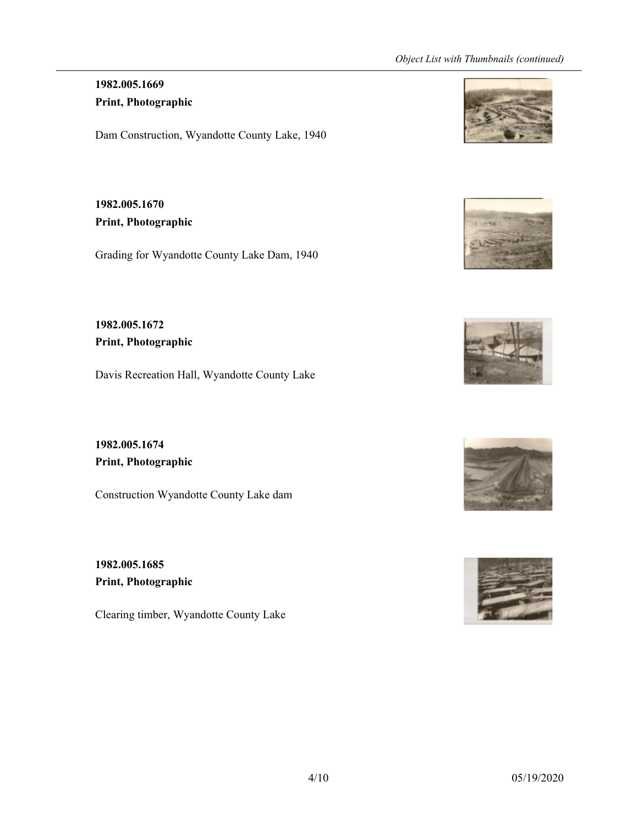### **1982.005.1669 Print, Photographic**

Dam Construction, Wyandotte County Lake, 1940

**1982.005.1670 Print, Photographic**

Grading for Wyandotte County Lake Dam, 1940

**1982.005.1672 Print, Photographic**

Davis Recreation Hall, Wyandotte County Lake

**1982.005.1674 Print, Photographic**

Construction Wyandotte County Lake dam

**1982.005.1685 Print, Photographic**

Clearing timber, Wyandotte County Lake









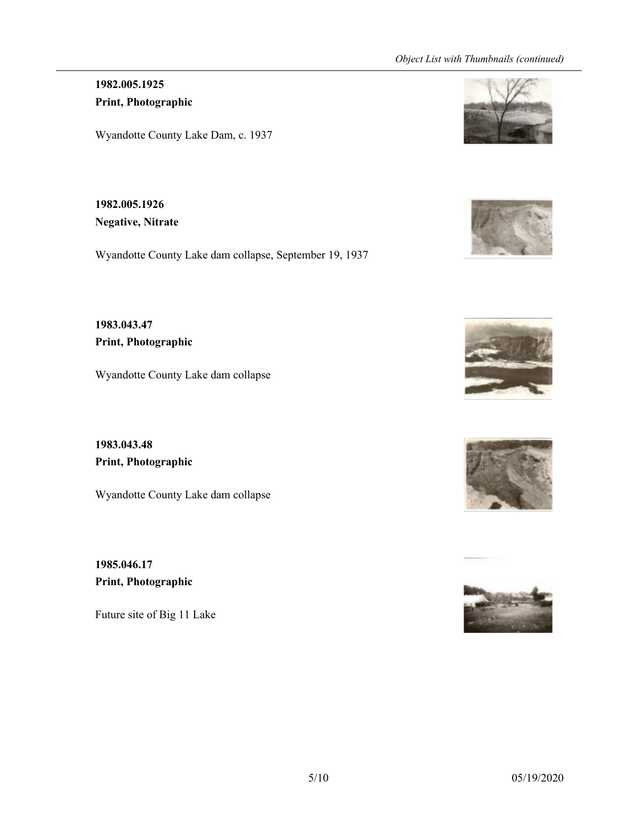**1982.005.1925 Print, Photographic**

Wyandotte County Lake Dam, c. 1937

**1982.005.1926 Negative, Nitrate**

Wyandotte County Lake dam collapse, September 19, 1937

**1983.043.47 Print, Photographic**

Wyandotte County Lake dam collapse

**1983.043.48 Print, Photographic**

Wyandotte County Lake dam collapse

**1985.046.17 Print, Photographic**

Future site of Big 11 Lake









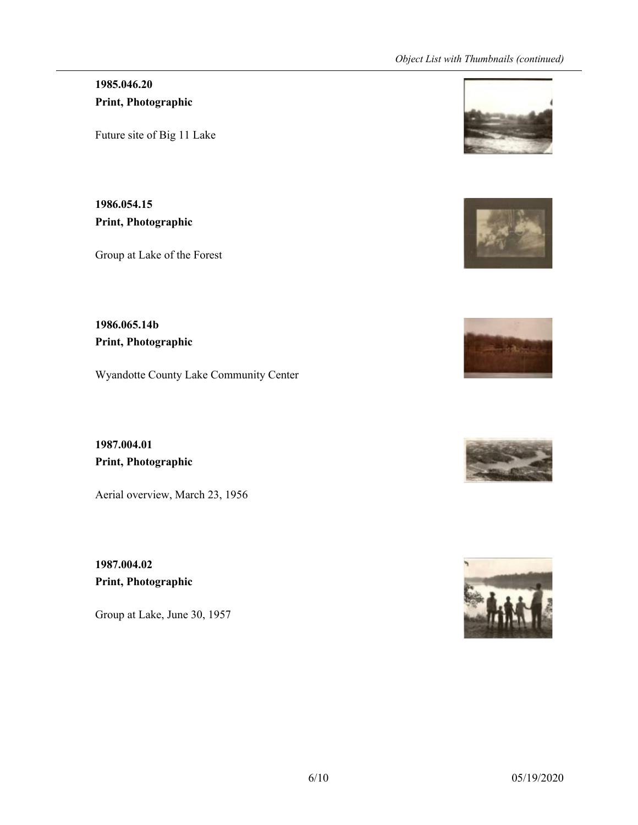### **1985.046.20 Print, Photographic**

Future site of Big 11 Lake

**1986.054.15 Print, Photographic**

Group at Lake of the Forest

**1986.065.14b Print, Photographic**

Wyandotte County Lake Community Center

**1987.004.01 Print, Photographic**

Aerial overview, March 23, 1956

**1987.004.02 Print, Photographic**

Group at Lake, June 30, 1957









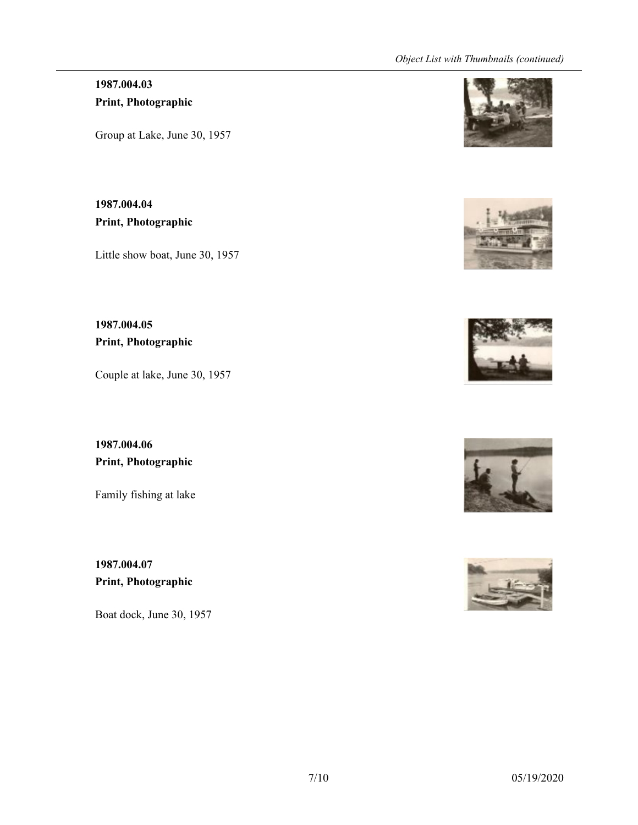# **1987.004.03 Print, Photographic**

Group at Lake, June 30, 1957

**1987.004.04 Print, Photographic**

Little show boat, June 30, 1957

**1987.004.05 Print, Photographic**

Couple at lake, June 30, 1957

**1987.004.06 Print, Photographic**

Family fishing at lake

**1987.004.07 Print, Photographic**

Boat dock, June 30, 1957









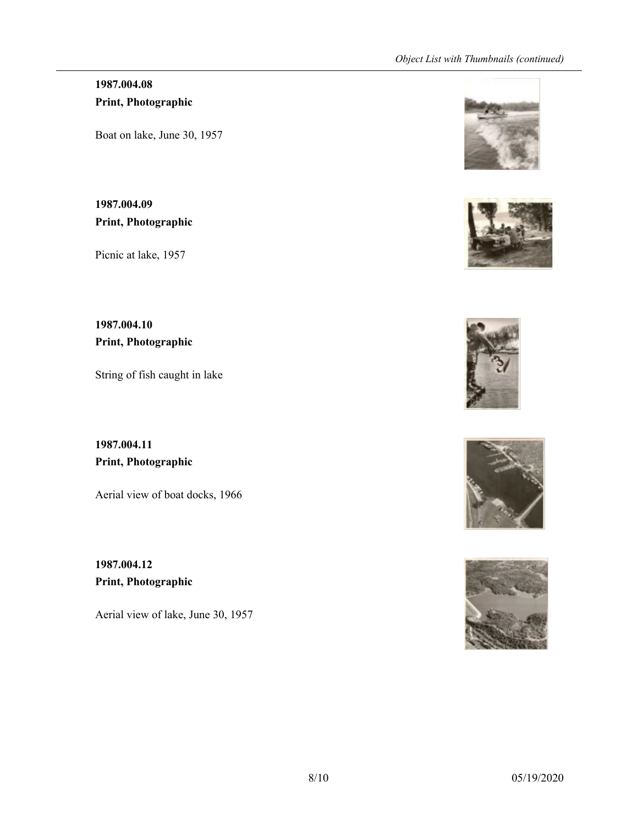# **1987.004.08 Print, Photographic**

Boat on lake, June 30, 1957

**1987.004.09 Print, Photographic**

Picnic at lake, 1957

**1987.004.10 Print, Photographic**

String of fish caught in lake

**1987.004.11 Print, Photographic**

Aerial view of boat docks, 1966

**1987.004.12 Print, Photographic**

Aerial view of lake, June 30, 1957









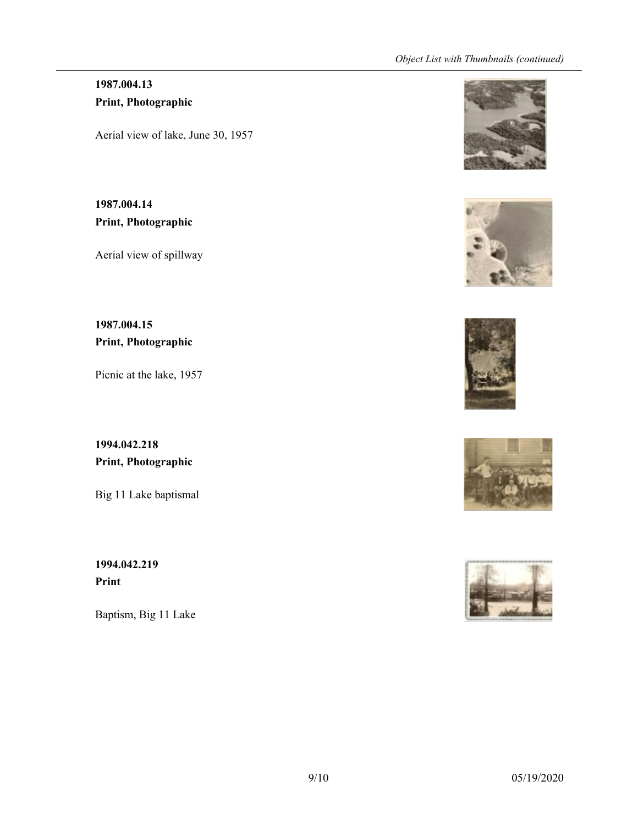# **1987.004.13 Print, Photographic**

Aerial view of lake, June 30, 1957

**1987.004.14 Print, Photographic**

Aerial view of spillway

**1987.004.15 Print, Photographic**

Picnic at the lake, 1957

**1994.042.218 Print, Photographic**

Big 11 Lake baptismal

**1994.042.219 Print**

Baptism, Big 11 Lake